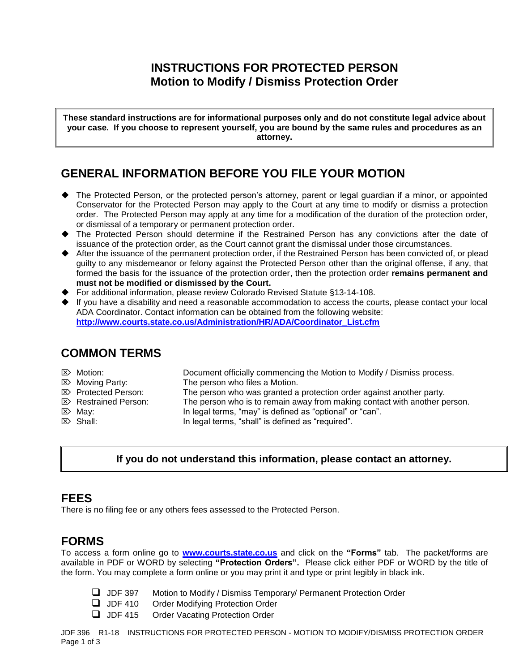## **INSTRUCTIONS FOR PROTECTED PERSON Motion to Modify / Dismiss Protection Order**

**These standard instructions are for informational purposes only and do not constitute legal advice about your case. If you choose to represent yourself, you are bound by the same rules and procedures as an attorney.**

## **GENERAL INFORMATION BEFORE YOU FILE YOUR MOTION**

- The Protected Person, or the protected person's attorney, parent or legal guardian if a minor, or appointed Conservator for the Protected Person may apply to the Court at any time to modify or dismiss a protection order. The Protected Person may apply at any time for a modification of the duration of the protection order, or dismissal of a temporary or permanent protection order.
- The Protected Person should determine if the Restrained Person has any convictions after the date of issuance of the protection order, as the Court cannot grant the dismissal under those circumstances.
- ◆ After the issuance of the permanent protection order, if the Restrained Person has been convicted of, or plead guilty to any misdemeanor or felony against the Protected Person other than the original offense, if any, that formed the basis for the issuance of the protection order, then the protection order **remains permanent and must not be modified or dismissed by the Court.**
- ▶ For additional information, please review Colorado Revised Statute §13-14-108.
- $\blacklozenge$  If you have a disability and need a reasonable accommodation to access the courts, please contact your local ADA Coordinator. Contact information can be obtained from the following website: **[http://www.courts.state.co.us/Administration/HR/ADA/Coordinator\\_List.cfm](http://www.courts.state.co.us/Administration/HR/ADA/Coordinator_List.cfm)**

## **COMMON TERMS**

- Motion: Document officially commencing the Motion to Modify / Dismiss process.
- $\mathbb{Z}$  Moving Party: The person who files a Motion.
- $\mathbb{Z}$  Protected Person: The person who was granted a protection order against another party.
- $\mathbb{Z}$  Restrained Person: The person who is to remain away from making contact with another person.
	-
	-
- 
- $\boxtimes$  May:  $\boxtimes$  In legal terms, "may" is defined as "optional" or "can".
- $\triangleright$  Shall: In legal terms, "shall" is defined as "required".

## **If you do not understand this information, please contact an attorney.**

# **FEES**

There is no filing fee or any others fees assessed to the Protected Person.

# **FORMS**

To access a form online go to **[www.courts.state.co.us](http://www.courts.state.co.us/)** and click on the **"Forms"** tab. The packet/forms are available in PDF or WORD by selecting **"Protection Orders".** Please click either PDF or WORD by the title of the form. You may complete a form online or you may print it and type or print legibly in black ink.

- JDF 397 Motion to Modify / Dismiss Temporary/ Permanent Protection Order
- **JDF 410** Order Modifying Protection Order
- **JDF 415** Order Vacating Protection Order

JDF 396 R1-18 INSTRUCTIONS FOR PROTECTED PERSON - MOTION TO MODIFY/DISMISS PROTECTION ORDER Page 1 of 3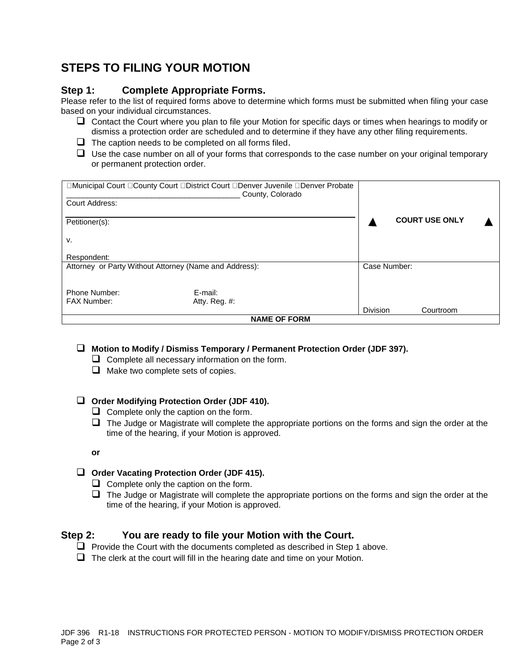# **STEPS TO FILING YOUR MOTION**

### **Step 1: Complete Appropriate Forms.**

Please refer to the list of required forms above to determine which forms must be submitted when filing your case based on your individual circumstances.

- $\Box$  Contact the Court where you plan to file your Motion for specific days or times when hearings to modify or dismiss a protection order are scheduled and to determine if they have any other filing requirements.
- $\Box$  The caption needs to be completed on all forms filed.
- $\Box$  Use the case number on all of your forms that corresponds to the case number on your original temporary or permanent protection order.

|                                                        | □Municipal Court □County Court □District Court □Denver Juvenile □Denver Probate<br>County, Colorado |                 |                       |  |
|--------------------------------------------------------|-----------------------------------------------------------------------------------------------------|-----------------|-----------------------|--|
| Court Address:                                         |                                                                                                     |                 |                       |  |
| Petitioner(s):                                         |                                                                                                     |                 | <b>COURT USE ONLY</b> |  |
| ۷.                                                     |                                                                                                     |                 |                       |  |
| Respondent:                                            |                                                                                                     |                 |                       |  |
| Attorney or Party Without Attorney (Name and Address): |                                                                                                     |                 | Case Number:          |  |
| Phone Number:                                          | E-mail:                                                                                             |                 |                       |  |
| <b>FAX Number:</b>                                     | Atty. Reg. $#$ :                                                                                    |                 |                       |  |
|                                                        |                                                                                                     | <b>Division</b> | Courtroom             |  |
| <b>NAME OF FORM</b>                                    |                                                                                                     |                 |                       |  |

#### **Motion to Modify / Dismiss Temporary / Permanent Protection Order (JDF 397).**

- $\Box$  Complete all necessary information on the form.
- $\Box$  Make two complete sets of copies.

#### **Order Modifying Protection Order (JDF 410).**

- $\Box$  Complete only the caption on the form.
- $\Box$  The Judge or Magistrate will complete the appropriate portions on the forms and sign the order at the time of the hearing, if your Motion is approved.
- **or**

#### **Order Vacating Protection Order (JDF 415).**

- $\Box$  Complete only the caption on the form.
- $\Box$  The Judge or Magistrate will complete the appropriate portions on the forms and sign the order at the time of the hearing, if your Motion is approved.

#### **Step 2: You are ready to file your Motion with the Court.**

- $\Box$  Provide the Court with the documents completed as described in Step 1 above.
- $\Box$  The clerk at the court will fill in the hearing date and time on your Motion.